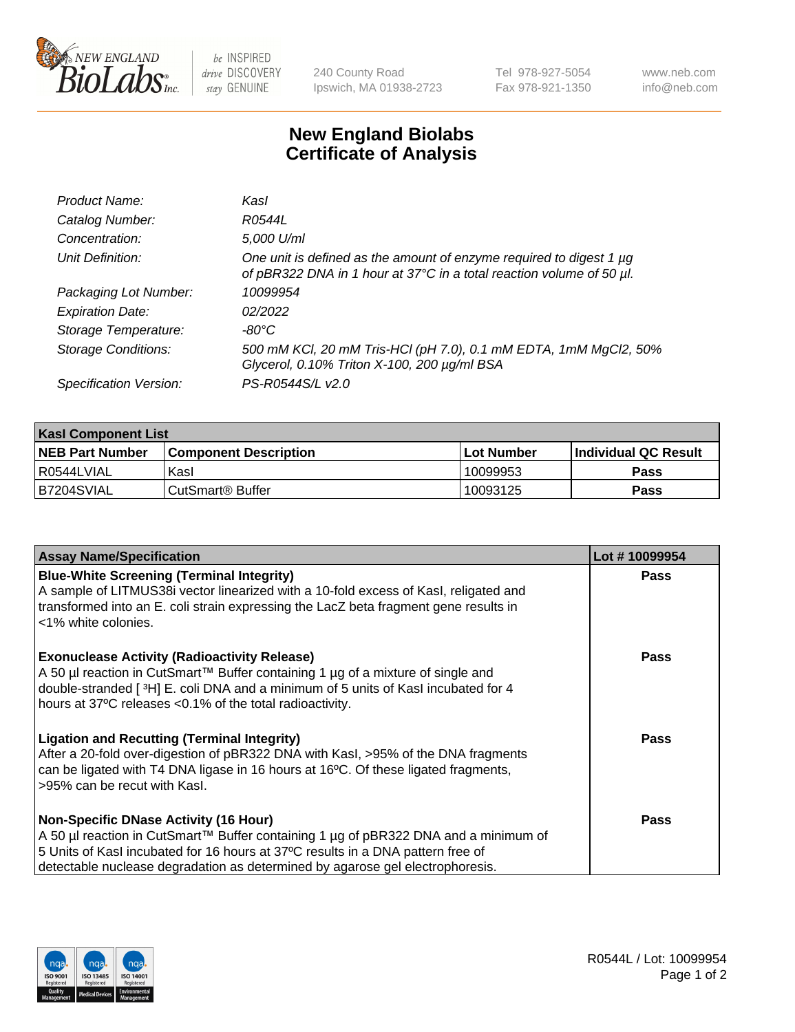

be INSPIRED drive DISCOVERY stay GENUINE

240 County Road Ipswich, MA 01938-2723 Tel 978-927-5054 Fax 978-921-1350

www.neb.com info@neb.com

## **New England Biolabs Certificate of Analysis**

| Product Name:              | Kasl                                                                                                                                        |
|----------------------------|---------------------------------------------------------------------------------------------------------------------------------------------|
| Catalog Number:            | R0544L                                                                                                                                      |
| Concentration:             | 5,000 U/ml                                                                                                                                  |
| Unit Definition:           | One unit is defined as the amount of enzyme required to digest 1 µg<br>of pBR322 DNA in 1 hour at 37°C in a total reaction volume of 50 µl. |
| Packaging Lot Number:      | 10099954                                                                                                                                    |
| <b>Expiration Date:</b>    | 02/2022                                                                                                                                     |
| Storage Temperature:       | -80°C                                                                                                                                       |
| <b>Storage Conditions:</b> | 500 mM KCl, 20 mM Tris-HCl (pH 7.0), 0.1 mM EDTA, 1mM MgCl2, 50%<br>Glycerol, 0.10% Triton X-100, 200 µg/ml BSA                             |
| Specification Version:     | PS-R0544S/L v2.0                                                                                                                            |

| <b>Kasl Component List</b> |                              |                   |                             |  |  |
|----------------------------|------------------------------|-------------------|-----------------------------|--|--|
| <b>NEB Part Number</b>     | <b>Component Description</b> | <b>Lot Number</b> | <b>Individual QC Result</b> |  |  |
| I R0544LVIAL               | Kasl                         | 10099953          | <b>Pass</b>                 |  |  |
| B7204SVIAL                 | l CutSmart® Buffer           | 10093125          | Pass                        |  |  |

| <b>Assay Name/Specification</b>                                                                                                                                                                                                                                                                         | Lot #10099954 |
|---------------------------------------------------------------------------------------------------------------------------------------------------------------------------------------------------------------------------------------------------------------------------------------------------------|---------------|
| <b>Blue-White Screening (Terminal Integrity)</b><br>A sample of LITMUS38i vector linearized with a 10-fold excess of Kasl, religated and<br>transformed into an E. coli strain expressing the LacZ beta fragment gene results in<br><1% white colonies.                                                 | <b>Pass</b>   |
| <b>Exonuclease Activity (Radioactivity Release)</b><br>A 50 µl reaction in CutSmart™ Buffer containing 1 µg of a mixture of single and<br>double-stranded [3H] E. coli DNA and a minimum of 5 units of Kasl incubated for 4<br>hours at 37°C releases <0.1% of the total radioactivity.                 | <b>Pass</b>   |
| <b>Ligation and Recutting (Terminal Integrity)</b><br>After a 20-fold over-digestion of pBR322 DNA with Kasl, >95% of the DNA fragments<br>can be ligated with T4 DNA ligase in 16 hours at 16°C. Of these ligated fragments,<br>>95% can be recut with Kasl.                                           | <b>Pass</b>   |
| <b>Non-Specific DNase Activity (16 Hour)</b><br>A 50 µl reaction in CutSmart™ Buffer containing 1 µg of pBR322 DNA and a minimum of<br>5 Units of Kasl incubated for 16 hours at 37°C results in a DNA pattern free of<br>detectable nuclease degradation as determined by agarose gel electrophoresis. | Pass          |